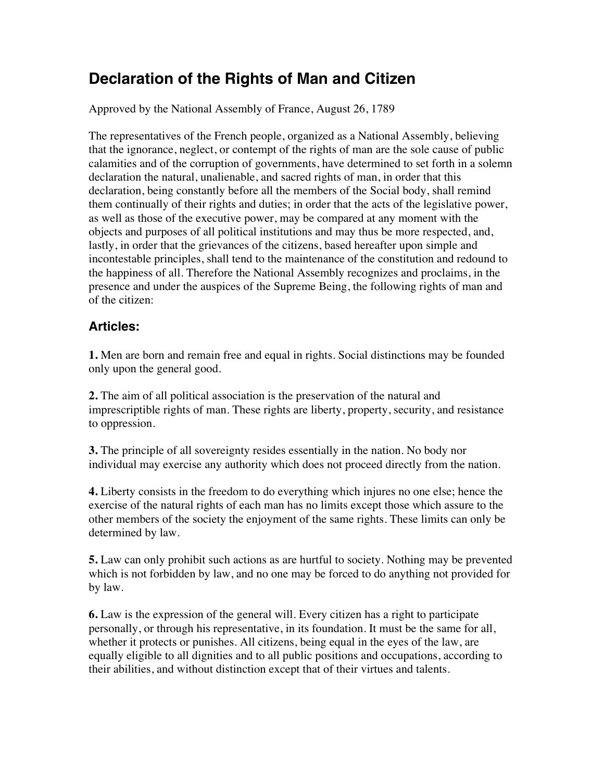## **Declaration of the Rights of Man and Citizen**

Approved by the National Assembly of France, August 26, 1789

The representatives of the French people, organized as a National Assembly, believing that the ignorance, neglect, or contempt of the rights of man are the sole cause of public calamities and of the corruption of governments, have determined to set forth in a solemn declaration the natural, unalienable, and sacred rights of man, in order that this declaration, being constantly before all the members of the Social body, shall remind them continually of their rights and duties; in order that the acts of the legislative power, as well as those of the executive power, may be compared at any moment with the objects and purposes of all political institutions and may thus be more respected, and, lastly, in order that the grievances of the citizens, based hereafter upon simple and incontestable principles, shall tend to the maintenance of the constitution and redound to the happiness of all. Therefore the National Assembly recognizes and proclaims, in the presence and under the auspices of the Supreme Being, the following rights of man and of the citizen:

## **Articles:**

**1.** Men are born and remain free and equal in rights. Social distinctions may be founded only upon the general good.

**2.** The aim of all political association is the preservation of the natural and imprescriptible rights of man. These rights are liberty, property, security, and resistance to oppression.

**3.** The principle of all sovereignty resides essentially in the nation. No body nor individual may exercise any authority which does not proceed directly from the nation.

**4.** Liberty consists in the freedom to do everything which injures no one else; hence the exercise of the natural rights of each man has no limits except those which assure to the other members of the society the enjoyment of the same rights. These limits can only be determined by law.

**5.** Law can only prohibit such actions as are hurtful to society. Nothing may be prevented which is not forbidden by law, and no one may be forced to do anything not provided for by law.

**6.** Law is the expression of the general will. Every citizen has a right to participate personally, or through his representative, in its foundation. It must be the same for all, whether it protects or punishes. All citizens, being equal in the eyes of the law, are equally eligible to all dignities and to all public positions and occupations, according to their abilities, and without distinction except that of their virtues and talents.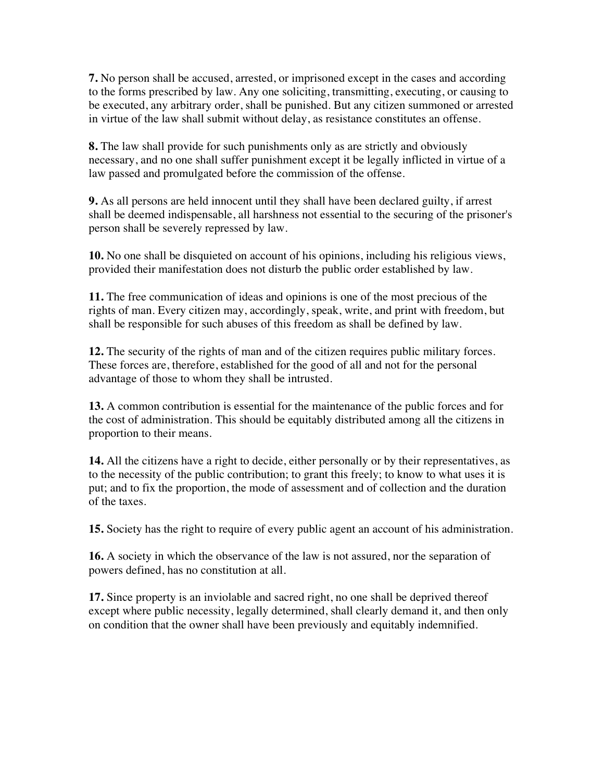**7.** No person shall be accused, arrested, or imprisoned except in the cases and according to the forms prescribed by law. Any one soliciting, transmitting, executing, or causing to be executed, any arbitrary order, shall be punished. But any citizen summoned or arrested in virtue of the law shall submit without delay, as resistance constitutes an offense.

**8.** The law shall provide for such punishments only as are strictly and obviously necessary, and no one shall suffer punishment except it be legally inflicted in virtue of a law passed and promulgated before the commission of the offense.

**9.** As all persons are held innocent until they shall have been declared guilty, if arrest shall be deemed indispensable, all harshness not essential to the securing of the prisoner's person shall be severely repressed by law.

**10.** No one shall be disquieted on account of his opinions, including his religious views, provided their manifestation does not disturb the public order established by law.

**11.** The free communication of ideas and opinions is one of the most precious of the rights of man. Every citizen may, accordingly, speak, write, and print with freedom, but shall be responsible for such abuses of this freedom as shall be defined by law.

**12.** The security of the rights of man and of the citizen requires public military forces. These forces are, therefore, established for the good of all and not for the personal advantage of those to whom they shall be intrusted.

**13.** A common contribution is essential for the maintenance of the public forces and for the cost of administration. This should be equitably distributed among all the citizens in proportion to their means.

**14.** All the citizens have a right to decide, either personally or by their representatives, as to the necessity of the public contribution; to grant this freely; to know to what uses it is put; and to fix the proportion, the mode of assessment and of collection and the duration of the taxes.

**15.** Society has the right to require of every public agent an account of his administration.

**16.** A society in which the observance of the law is not assured, nor the separation of powers defined, has no constitution at all.

**17.** Since property is an inviolable and sacred right, no one shall be deprived thereof except where public necessity, legally determined, shall clearly demand it, and then only on condition that the owner shall have been previously and equitably indemnified.